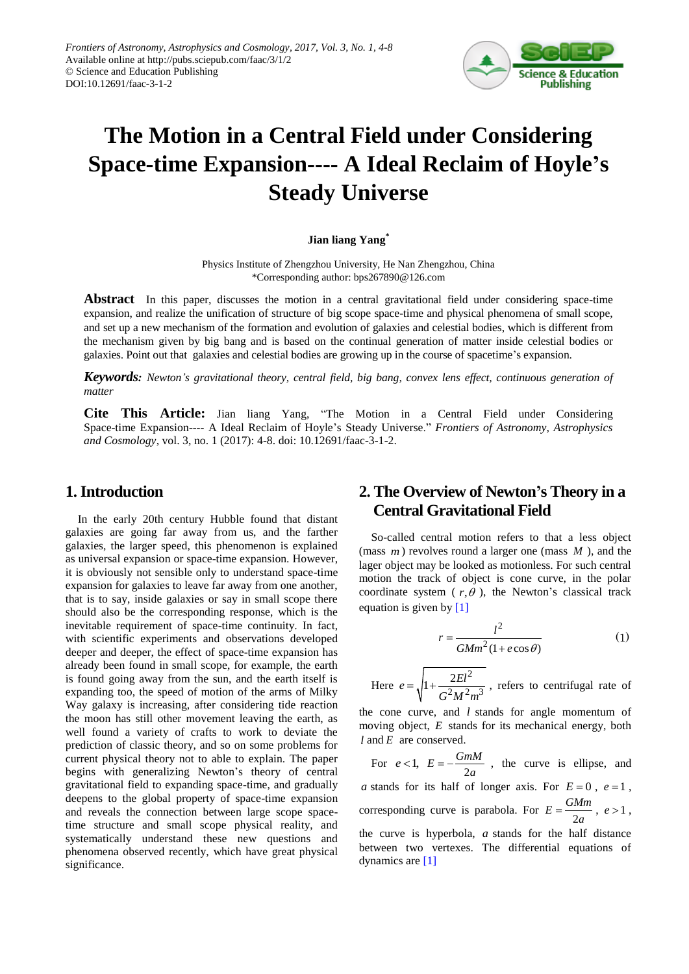

# **The Motion in a Central Field under Considering Space-time Expansion---- A Ideal Reclaim of Hoyle's Steady Universe**

#### **Jian liang Yang\***

Physics Institute of Zhengzhou University, He Nan Zhengzhou, China \*Corresponding author: bps267890@126.com

**Abstract** In this paper, discusses the motion in a central gravitational field under considering space-time expansion, and realize the unification of structure of big scope space-time and physical phenomena of small scope, and set up a new mechanism of the formation and evolution of galaxies and celestial bodies, which is different from the mechanism given by big bang and is based on the continual generation of matter inside celestial bodies or galaxies. Point out that galaxies and celestial bodies are growing up in the course of spacetime's expansion.

*Keywords: Newton's gravitational theory, central field, big bang, convex lens effect, continuous generation of matter*

**Cite This Article:** Jian liang Yang, "The Motion in a Central Field under Considering Space-time Expansion---- A Ideal Reclaim of Hoyle's Steady Universe." *Frontiers of Astronomy, Astrophysics and Cosmology*, vol. 3, no. 1 (2017): 4-8. doi: 10.12691/faac-3-1-2.

## **1. Introduction**

In the early 20th century Hubble found that distant galaxies are going far away from us, and the farther galaxies, the larger speed, this phenomenon is explained as universal expansion or space-time expansion. However, it is obviously not sensible only to understand space-time expansion for galaxies to leave far away from one another, that is to say, inside galaxies or say in small scope there should also be the corresponding response, which is the inevitable requirement of space-time continuity. In fact, with scientific experiments and observations developed deeper and deeper, the effect of space-time expansion has already been found in small scope, for example, the earth is found going away from the sun, and the earth itself is expanding too, the speed of motion of the arms of Milky Way galaxy is increasing, after considering tide reaction the moon has still other movement leaving the earth, as well found a variety of crafts to work to deviate the prediction of classic theory, and so on some problems for current physical theory not to able to explain. The paper begins with generalizing Newton's theory of central gravitational field to expanding space-time, and gradually deepens to the global property of space-time expansion and reveals the connection between large scope spacetime structure and small scope physical reality, and systematically understand these new questions and phenomena observed recently, which have great physical significance.

## **2. The Overview of Newton's Theory in a Central Gravitational Field**

So-called central motion refers to that a less object (mass *m* ) revolves round a larger one (mass *M* ), and the lager object may be looked as motionless. For such central motion the track of object is cone curve, in the polar coordinate system  $(r, \theta)$ , the Newton's classical track equation is given b[y \[1\]](#page-4-0)

$$
r = \frac{l^2}{GMm^2(1 + e\cos\theta)}
$$
 (1)

Here 
$$
e = \sqrt{1 + \frac{2EI^2}{G^2M^2m^3}}
$$
, refers to centrifugal rate of

the cone curve, and *l* stands for angle momentum of moving object, *E* stands for its mechanical energy, both *l* and *E* are conserved.

For  $e < 1$ ,  $E = -\frac{GmM}{2a}$ , the curve is ellipse, and a stands for its half of longer axis. For  $E = 0$ ,  $e = 1$ , corresponding curve is parabola. For  $E = \frac{GMm}{2a}$ ,  $e > 1$ , the curve is hyperbola, *a* stands for the half distance between two vertexes. The differential equations of dynamics ar[e \[1\]](#page-4-0)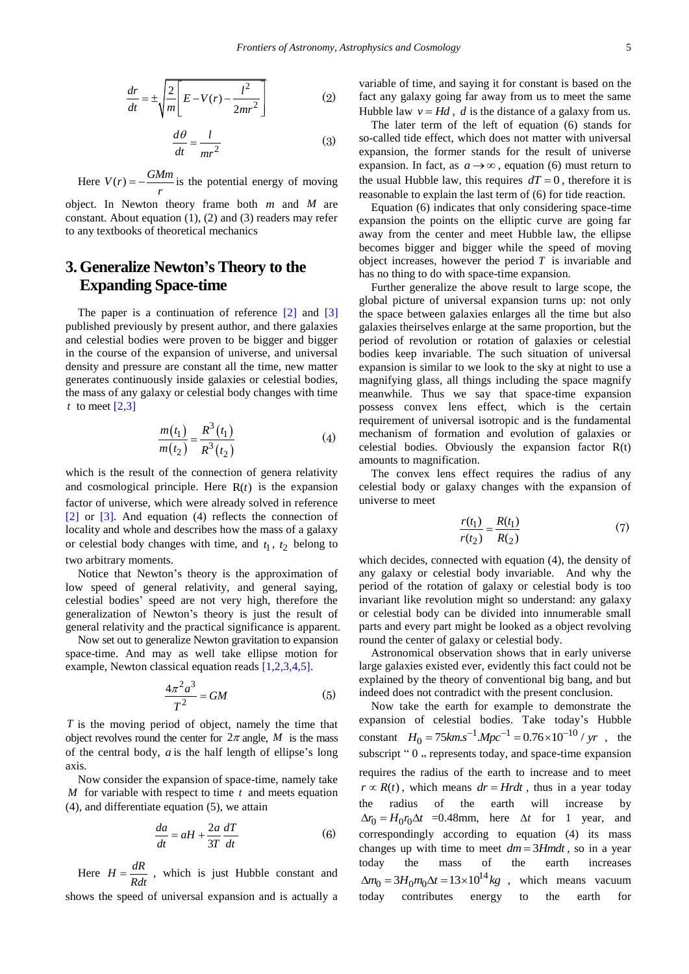$$
\frac{dr}{dt} = \pm \sqrt{\frac{2}{m} \left[ E - V(r) - \frac{l^2}{2mr^2} \right]}
$$
 (2)

$$
\frac{d\theta}{dt} = \frac{l}{mr^2} \tag{3}
$$

Here  $V(r) = -\frac{GMm}{r}$  $=-\frac{6mm}{\sqrt{2}}$  is the potential energy of moving

object. In Newton theory frame both  $m$  and  $M$  are constant. About equation (1), (2) and (3) readers may refer to any textbooks of theoretical mechanics

## **3.Generalize Newton's Theory to the Expanding Space-time**

The paper is a continuation of reference  $\lceil 2 \rceil$  and  $\lceil 3 \rceil$ published previously by present author, and there galaxies and celestial bodies were proven to be bigger and bigger in the course of the expansion of universe, and universal density and pressure are constant all the time, new matter generates continuously inside galaxies or celestial bodies, the mass of any galaxy or celestial body changes with time *t* to meet  $[2,3]$ 

$$
\frac{m(t_1)}{m(t_2)} = \frac{R^3(t_1)}{R^3(t_2)}\tag{4}
$$

which is the result of the connection of genera relativity and cosmological principle. Here  $R(t)$  is the expansion factor of universe, which were already solved in reference [\[2\]](#page-4-1) or [\[3\].](#page-4-2) And equation (4) reflects the connection of locality and whole and describes how the mass of a galaxy or celestial body changes with time, and  $t_1$ ,  $t_2$  belong to two arbitrary moments.

Notice that Newton's theory is the approximation of low speed of general relativity, and general saying, celestial bodies' speed are not very high, therefore the generalization of Newton's theory is just the result of general relativity and the practical significance is apparent.

Now set out to generalize Newton gravitation to expansion space-time. And may as well take ellipse motion for example, Newton classical equation reads [\[1,2,3,4,5\].](#page-4-0)

$$
\frac{4\pi^2 a^3}{T^2} = GM \tag{5}
$$

*T* is the moving period of object, namely the time that object revolves round the center for  $2\pi$  angle, M is the mass of the central body, *a* is the half length of ellipse's long axis.

Now consider the expansion of space-time, namely take *M* for variable with respect to time *t* and meets equation (4), and differentiate equation (5), we attain

$$
\frac{da}{dt} = aH + \frac{2a}{3T}\frac{dT}{dt} \tag{6}
$$

Here  $H = \frac{dR}{Rdt}$ , which is just Hubble constant and shows the speed of universal expansion and is actually a

variable of time, and saying it for constant is based on the fact any galaxy going far away from us to meet the same Hubble law  $v = Hd$ , *d* is the distance of a galaxy from us.

The later term of the left of equation (6) stands for so-called tide effect, which does not matter with universal expansion, the former stands for the result of universe expansion. In fact, as  $a \rightarrow \infty$ , equation (6) must return to the usual Hubble law, this requires  $dT = 0$ , therefore it is reasonable to explain the last term of (6) for tide reaction.

Equation (6) indicates that only considering space-time expansion the points on the elliptic curve are going far away from the center and meet Hubble law, the ellipse becomes bigger and bigger while the speed of moving object increases, however the period  $T$  is invariable and has no thing to do with space-time expansion.

Further generalize the above result to large scope, the global picture of universal expansion turns up: not only the space between galaxies enlarges all the time but also galaxies theirselves enlarge at the same proportion, but the period of revolution or rotation of galaxies or celestial bodies keep invariable. The such situation of universal expansion is similar to we look to the sky at night to use a magnifying glass, all things including the space magnify meanwhile. Thus we say that space-time expansion possess convex lens effect, which is the certain requirement of universal isotropic and is the fundamental mechanism of formation and evolution of galaxies or celestial bodies. Obviously the expansion factor R(t) amounts to magnification.

The convex lens effect requires the radius of any celestial body or galaxy changes with the expansion of universe to meet

$$
\frac{r(t_1)}{r(t_2)} = \frac{R(t_1)}{R(t_2)}\tag{7}
$$

which decides, connected with equation (4), the density of any galaxy or celestial body invariable. And why the period of the rotation of galaxy or celestial body is too invariant like revolution might so understand: any galaxy or celestial body can be divided into innumerable small parts and every part might be looked as a object revolving round the center of galaxy or celestial body.

Astronomical observation shows that in early universe large galaxies existed ever, evidently this fact could not be explained by the theory of conventional big bang, and but indeed does not contradict with the present conclusion.

Now take the earth for example to demonstrate the expansion of celestial bodies. Take today's Hubble expansion of celestial bodies. Take today's Hubble<br>constant  $H_0 = 75 km.s^{-1} Mpc^{-1} = 0.76 \times 10^{-10} / yr$ , the subscript " 0  $,$  represents today, and space-time expansion requires the radius of the earth to increase and to meet  $r \propto R(t)$ , which means  $dr = Hrdt$ , thus in a year today the radius of the earth will increase by  $\Delta r_0 = H_0 r_0 \Delta t$  =0.48mm, here  $\Delta t$  for 1 year, and correspondingly according to equation (4) its mass changes up with time to meet  $dm = 3Hmdt$ , so in a year today the mass of the earth increases  $\Delta m_0 = 3H_0 m_0 \Delta t = 13 \times 10^{14} kg$ , which means vacuum today contributes energy to the earth for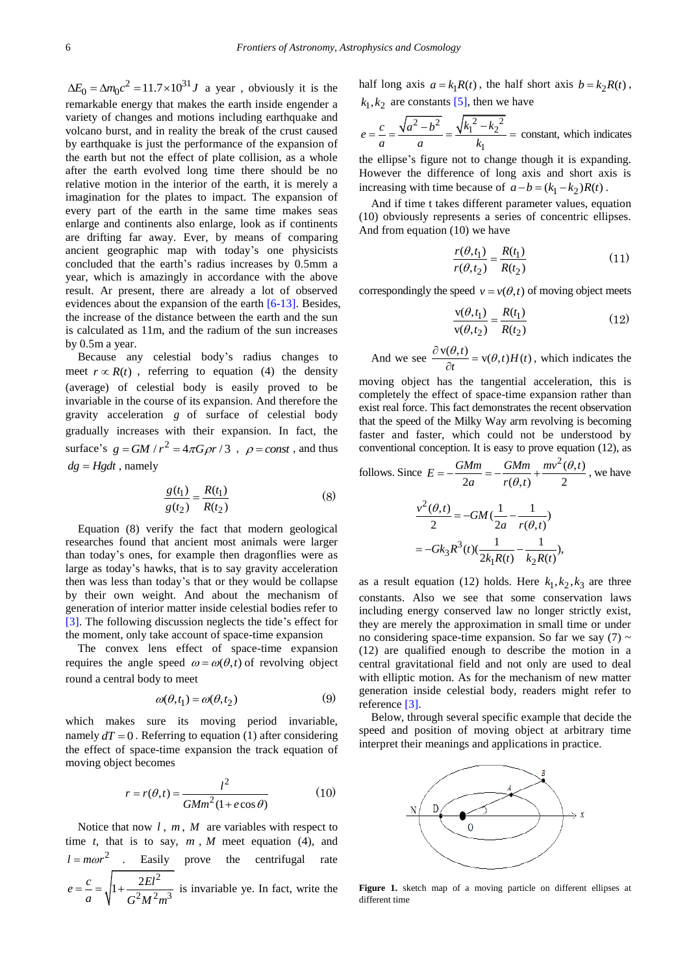$\Delta E_0 = \Delta m_0 c^2 = 11.7 \times 10^{31} J$  a year, obviously it is the remarkable energy that makes the earth inside engender a variety of changes and motions including earthquake and volcano burst, and in reality the break of the crust caused by earthquake is just the performance of the expansion of the earth but not the effect of plate collision, as a whole after the earth evolved long time there should be no relative motion in the interior of the earth, it is merely a imagination for the plates to impact. The expansion of every part of the earth in the same time makes seas enlarge and continents also enlarge, look as if continents are drifting far away. Ever, by means of comparing ancient geographic map with today's one physicists concluded that the earth's radius increases by 0.5mm a year, which is amazingly in accordance with the above result. Ar present, there are already a lot of observed evidences about the expansion of the earth [\[6-13\].](#page-4-3) Besides, the increase of the distance between the earth and the sun is calculated as 11m, and the radium of the sun increases by 0.5m a year.

Because any celestial body's radius changes to meet  $r \propto R(t)$ , referring to equation (4) the density (average) of celestial body is easily proved to be invariable in the course of its expansion. And therefore the gravity acceleration *g* of surface of celestial body gradually increases with their expansion. In fact, the surface's  $g = GM / r^2 = 4\pi G \rho r / 3$ ,  $\rho = const$ , and thus  $dg = Hgdt$ , namely

$$
\frac{g(t_1)}{g(t_2)} = \frac{R(t_1)}{R(t_2)}\tag{8}
$$

Equation (8) verify the fact that modern geological researches found that ancient most animals were larger than today's ones, for example then dragonflies were as large as today's hawks, that is to say gravity acceleration then was less than today's that or they would be collapse by their own weight. And about the mechanism of generation of interior matter inside celestial bodies refer to [\[3\].](#page-4-2) The following discussion neglects the tide's effect for the moment, only take account of space-time expansion

The convex lens effect of space-time expansion requires the angle speed  $\omega = \omega(\theta, t)$  of revolving object round a central body to meet

$$
\omega(\theta, t_1) = \omega(\theta, t_2) \tag{9}
$$

which makes sure its moving period invariable, namely  $dT = 0$ . Referring to equation (1) after considering the effect of space-time expansion the track equation of moving object becomes

$$
r = r(\theta, t) = \frac{l^2}{GMm^2(1 + e\cos\theta)}
$$
(10)

Notice that now  $l$ ,  $m$ ,  $M$  are variables with respect to time  $t$ , that is to say,  $m$ ,  $M$  meet equation (4), and  $l = m\omega r^2$  . Easily prove the centrifugal rate 2  $\frac{2}{1}$   $\frac{2}{3}$  $e = \frac{c}{a} = \sqrt{1 + \frac{2El^2}{G^2 M^2 m}}$  $\epsilon = \frac{c}{\sqrt{1 + \frac{2\epsilon t^2}{c^2}}}$  is invariable ye. In fact, write the half long axis  $a = k_1 R(t)$ , the half short axis  $b = k_2 R(t)$ ,  $k_1, k_2$  are constants [\[5\],](#page-4-4) then we have

$$
e = \frac{c}{a} = \frac{\sqrt{a^2 - b^2}}{a} = \frac{\sqrt{k_1^2 - k_2^2}}{k_1} = \text{constant, which indicates}
$$

the ellipse's figure not to change though it is expanding. However the difference of long axis and short axis is increasing with time because of  $a - b = (k_1 - k_2)R(t)$ .

And if time t takes different parameter values, equation (10) obviously represents a series of concentric ellipses. And from equation (10) we have

$$
\frac{r(\theta, t_1)}{r(\theta, t_2)} = \frac{R(t_1)}{R(t_2)}
$$
(11)

correspondingly the speed  $v = v(\theta, t)$  of moving object meets

$$
\frac{v(\theta, t_1)}{v(\theta, t_2)} = \frac{R(t_1)}{R(t_2)}
$$
(12)

And we see  $\frac{\partial v(\theta, t)}{\partial t} = v(\theta, t)H(t)$  $\frac{\partial v(\theta, t)}{\partial t} = v(\theta, t)H(t)$ , which indicates the

moving object has the tangential acceleration, this is completely the effect of space-time expansion rather than exist real force. This fact demonstrates the recent observation that the speed of the Milky Way arm revolving is becoming faster and faster, which could not be understood by

conventional conception. It is easy to prove equation (12), as follows. Since 
$$
E = -\frac{GMm}{2a} = -\frac{GMm}{r(\theta, t)} + \frac{mv^2(\theta, t)}{2}
$$
, we have

$$
\frac{v^2(\theta, t)}{2} = -GM(\frac{1}{2a} - \frac{1}{r(\theta, t)})
$$

$$
= -Gk_3R^3(t)(\frac{1}{2k_1R(t)} - \frac{1}{k_2R(t)}),
$$

as a result equation (12) holds. Here  $k_1, k_2, k_3$  are three constants. Also we see that some conservation laws including energy conserved law no longer strictly exist, they are merely the approximation in small time or under no considering space-time expansion. So far we say  $(7) \sim$ (12) are qualified enough to describe the motion in a central gravitational field and not only are used to deal with elliptic motion. As for the mechanism of new matter generation inside celestial body, readers might refer to reference [\[3\].](#page-4-2)

Below, through several specific example that decide the speed and position of moving object at arbitrary time interpret their meanings and applications in practice.



Figure 1. sketch map of a moving particle on different ellipses at different time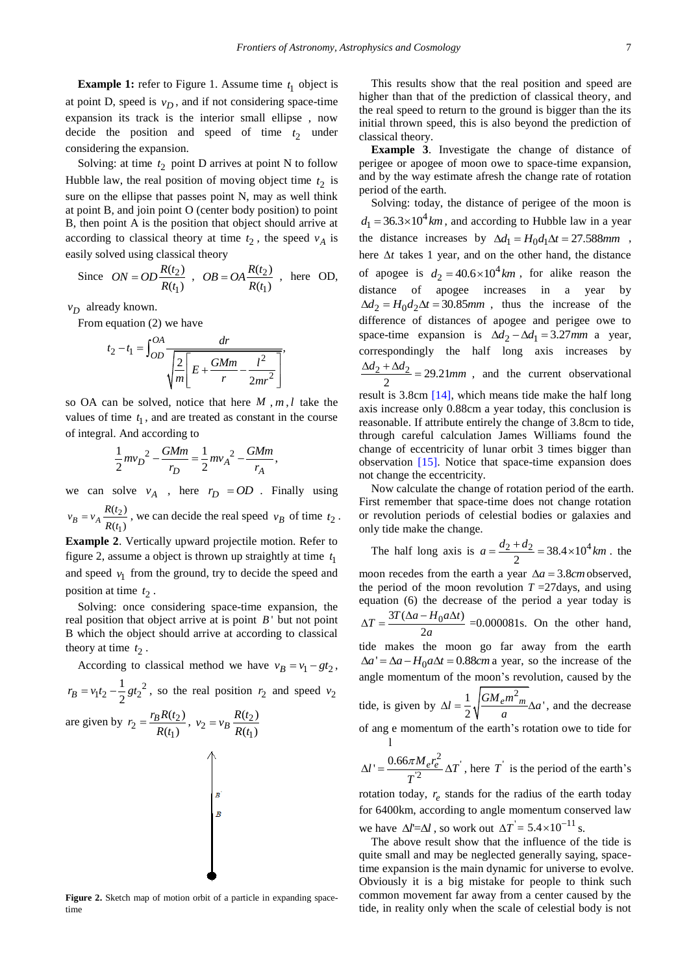**Example 1:** refer to Figure 1. Assume time  $t_1$  object is at point D, speed is  $v_D$ , and if not considering space-time expansion its track is the interior small ellipse , now decide the position and speed of time  $t_2$  under considering the expansion.

Solving: at time  $t_2$  point D arrives at point N to follow Hubble law, the real position of moving object time  $t_2$  is sure on the ellipse that passes point N, may as well think at point B, and join point O (center body position) to point B, then point A is the position that object should arrive at according to classical theory at time  $t_2$ , the speed  $v_A$  is easily solved using classical theory

Since 
$$
ON = OD \frac{R(t_2)}{R(t_1)}
$$
,  $OB = OA \frac{R(t_2)}{R(t_1)}$ , here OD,

*vD* already known.

From equation (2) we have

$$
t_2 - t_1 = \int_{OD}^{OA} \frac{dr}{\sqrt{\frac{2}{m} \left[ E + \frac{GMm}{r} - \frac{l^2}{2mr^2} \right]}} ,
$$

so OA can be solved, notice that here  $M$ ,  $m$ ,  $l$  take the values of time  $t_1$ , and are treated as constant in the course of integral. And according to

$$
\frac{1}{2}mv_D^2 - \frac{GMm}{r_D} = \frac{1}{2}mv_A^2 - \frac{GMm}{r_A},
$$

we can solve  $v_A$ , here  $r_D = OD$ . Finally using 2  $(t<sub>2</sub>)$ 

1  $B = {}^V A \overline{R(t_1)}$  $v_B = v_A \frac{R(t)}{R(t)}$  $= v_A \frac{R(t_2)}{R(t_1)}$ , we can decide the real speed  $v_B$  of time  $t_2$ .

**Example 2**. Vertically upward projectile motion. Refer to figure 2, assume a object is thrown up straightly at time  $t_1$ and speed  $v_1$  from the ground, try to decide the speed and position at time  $t_2$ .

Solving: once considering space-time expansion, the real position that object arrive at is point  $B'$  but not point B which the object should arrive at according to classical theory at time  $t_2$ .

According to classical method we have  $v_B = v_1 - gt_2$ ,

$$
r_B = v_1 t_2 - \frac{1}{2} g t_2^2
$$
, so the real position  $r_2$  and speed  $v_2$   

$$
r_B R(t_2)
$$

are given by 
$$
r_2 = \frac{r_B R(t_2)}{R(t_1)}
$$
,  $v_2 = v_B \frac{R(t_2)}{R(t_1)}$ 

**Figure 2.** Sketch map of motion orbit of a particle in expanding spacetime

This results show that the real position and speed are higher than that of the prediction of classical theory, and the real speed to return to the ground is bigger than the its initial thrown speed, this is also beyond the prediction of classical theory.

**Example 3**. Investigate the change of distance of perigee or apogee of moon owe to space-time expansion, and by the way estimate afresh the change rate of rotation period of the earth.

Solving: today, the distance of perigee of the moon is  $d_1 = 36.3 \times 10^4$  km, and according to Hubble law in a year the distance increases by  $\Delta d_1 = H_0 d_1 \Delta t = 27.588$  mm, here  $\Delta t$  takes 1 year, and on the other hand, the distance of apogee is  $d_2 = 40.6 \times 10^4 km$ , for alike reason the distance of apogee increases in a year by  $\Delta d_2 = H_0 d_2 \Delta t = 30.85$ mm, thus the increase of the difference of distances of apogee and perigee owe to space-time expansion is  $\Delta d_2 - \Delta d_1 = 3.27$  mm a year, correspondingly the half long axis increases by  $\frac{2 + \Delta d_2}{2} = 29.21$  $\frac{\Delta d_2 + \Delta d_2}{\Delta d_2} = 29.21$  *mm*, and the current observational result is 3.8cm [\[14\],](#page-4-5) which means tide make the half long axis increase only 0.88cm a year today, this conclusion is reasonable. If attribute entirely the change of 3.8cm to tide, through careful calculation James Williams found the change of eccentricity of lunar orbit 3 times bigger than

Now calculate the change of rotation period of the earth. First remember that space-time does not change rotation or revolution periods of celestial bodies or galaxies and only tide make the change.

observation [\[15\].](#page-4-6) Notice that space-time expansion does

not change the eccentricity.

The half long axis is  $a = \frac{d_2 + d_2}{2} = 38.4 \times 10^4 \text{ km}$ . the moon recedes from the earth a year  $\Delta a = 3.8$ *cm* observed, the period of the moon revolution  $T = 27$  days, and using equation (6) the decrease of the period a year today is  $3T(\Delta a - H_0 a \Delta t)$ 2  $\Delta T = \frac{3T(\Delta a - H_0 a \Delta t)}{2a}$  =0.000081s. On the other hand, tide makes the moon go far away from the earth  $\Delta a' = \Delta a - H_0 a \Delta t = 0.88$ cm a year, so the increase of the angle momentum of the moon's revolution, caused by the tide, is given by  $\Delta l = \frac{1}{2} \sqrt{\frac{GM_e m^2_m}{a}} \Delta a'$ , and the decrease of ang e momentum of the earth's rotation owe to tide for l  $\frac{M_e r_e^2}{2} \Delta T$  $l' = \frac{0.66 \pi M_e r_e^2}{r^2} \Delta T$  $\Delta l' = \frac{0.66 \pi M_e r_e^2}{2} \Delta T$ , here T is the period of the earth's

*T* rotation today,  $r_e$  stands for the radius of the earth today for 6400km, according to angle momentum conserved law

we have  $\Delta l = \Delta l$ , so work out  $\Delta T = 5.4 \times 10^{-11}$  s.

The above result show that the influence of the tide is quite small and may be neglected generally saying, spacetime expansion is the main dynamic for universe to evolve. Obviously it is a big mistake for people to think such common movement far away from a center caused by the tide, in reality only when the scale of celestial body is not